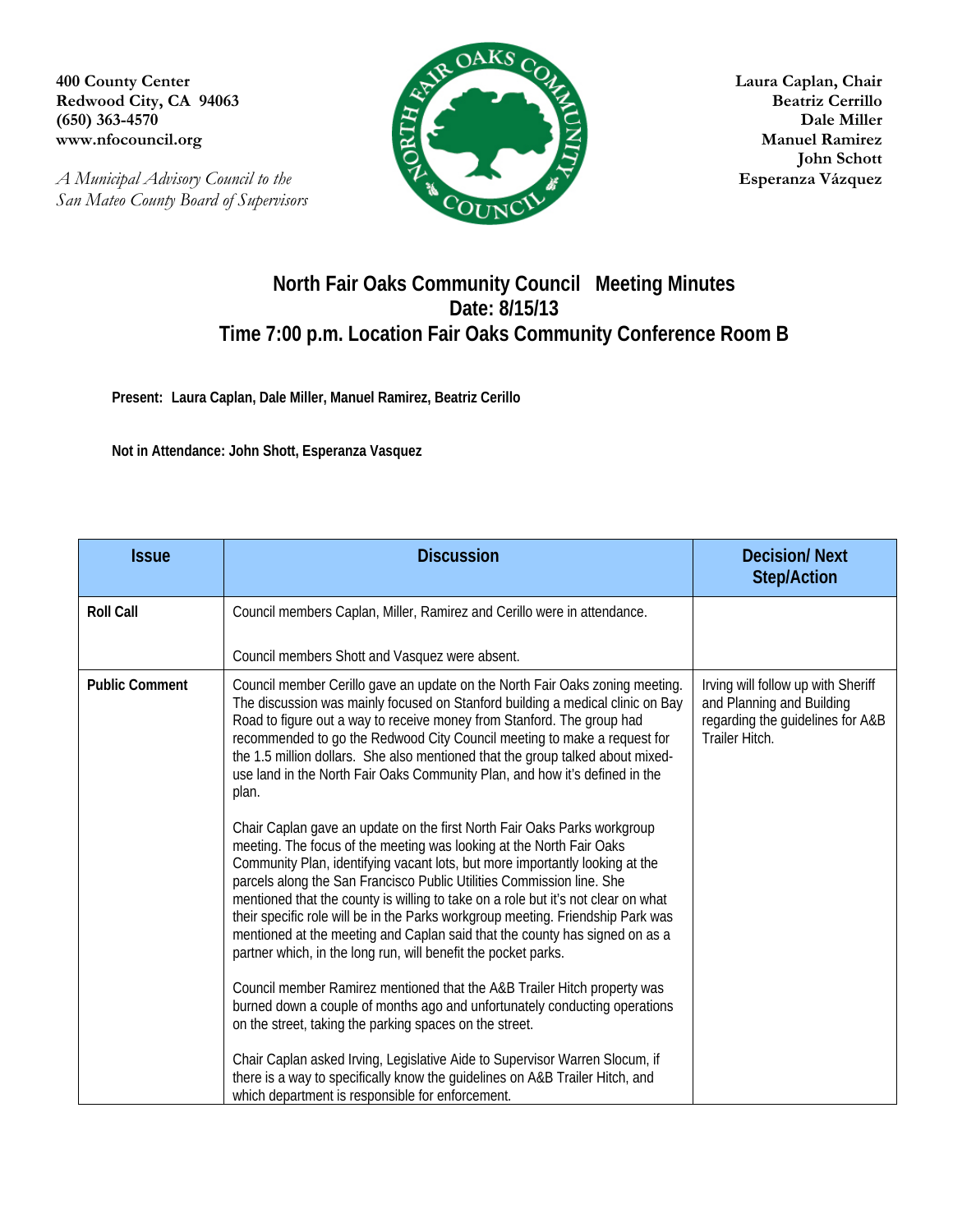**(650) 363-4570** 

*A Municipal Advisory Council to the Esperanza Vázquez San Mateo County Board of Supervisors* 



 **John Schott** 

## **North Fair Oaks Community Council Meeting Minutes Date: 8/15/13 Time 7:00 p.m. Location Fair Oaks Community Conference Room B**

**Present: Laura Caplan, Dale Miller, Manuel Ramirez, Beatriz Cerillo** 

**Not in Attendance: John Shott, Esperanza Vasquez** 

| <b>Issue</b>          | <b>Discussion</b>                                                                                                                                                                                                                                                                                                                                                                                                                                                                                                                                                                                                                  | <b>Decision/Next</b><br><b>Step/Action</b>                                                                            |
|-----------------------|------------------------------------------------------------------------------------------------------------------------------------------------------------------------------------------------------------------------------------------------------------------------------------------------------------------------------------------------------------------------------------------------------------------------------------------------------------------------------------------------------------------------------------------------------------------------------------------------------------------------------------|-----------------------------------------------------------------------------------------------------------------------|
| <b>Roll Call</b>      | Council members Caplan, Miller, Ramirez and Cerillo were in attendance.                                                                                                                                                                                                                                                                                                                                                                                                                                                                                                                                                            |                                                                                                                       |
|                       | Council members Shott and Vasquez were absent.                                                                                                                                                                                                                                                                                                                                                                                                                                                                                                                                                                                     |                                                                                                                       |
| <b>Public Comment</b> | Council member Cerillo gave an update on the North Fair Oaks zoning meeting.<br>The discussion was mainly focused on Stanford building a medical clinic on Bay<br>Road to figure out a way to receive money from Stanford. The group had<br>recommended to go the Redwood City Council meeting to make a request for<br>the 1.5 million dollars. She also mentioned that the group talked about mixed-<br>use land in the North Fair Oaks Community Plan, and how it's defined in the<br>plan.                                                                                                                                     | Irving will follow up with Sheriff<br>and Planning and Building<br>regarding the guidelines for A&B<br>Trailer Hitch. |
|                       | Chair Caplan gave an update on the first North Fair Oaks Parks workgroup<br>meeting. The focus of the meeting was looking at the North Fair Oaks<br>Community Plan, identifying vacant lots, but more importantly looking at the<br>parcels along the San Francisco Public Utilities Commission line. She<br>mentioned that the county is willing to take on a role but it's not clear on what<br>their specific role will be in the Parks workgroup meeting. Friendship Park was<br>mentioned at the meeting and Caplan said that the county has signed on as a<br>partner which, in the long run, will benefit the pocket parks. |                                                                                                                       |
|                       | Council member Ramirez mentioned that the A&B Trailer Hitch property was<br>burned down a couple of months ago and unfortunately conducting operations<br>on the street, taking the parking spaces on the street.<br>Chair Caplan asked Irving, Legislative Aide to Supervisor Warren Slocum, if<br>there is a way to specifically know the guidelines on A&B Trailer Hitch, and<br>which department is responsible for enforcement.                                                                                                                                                                                               |                                                                                                                       |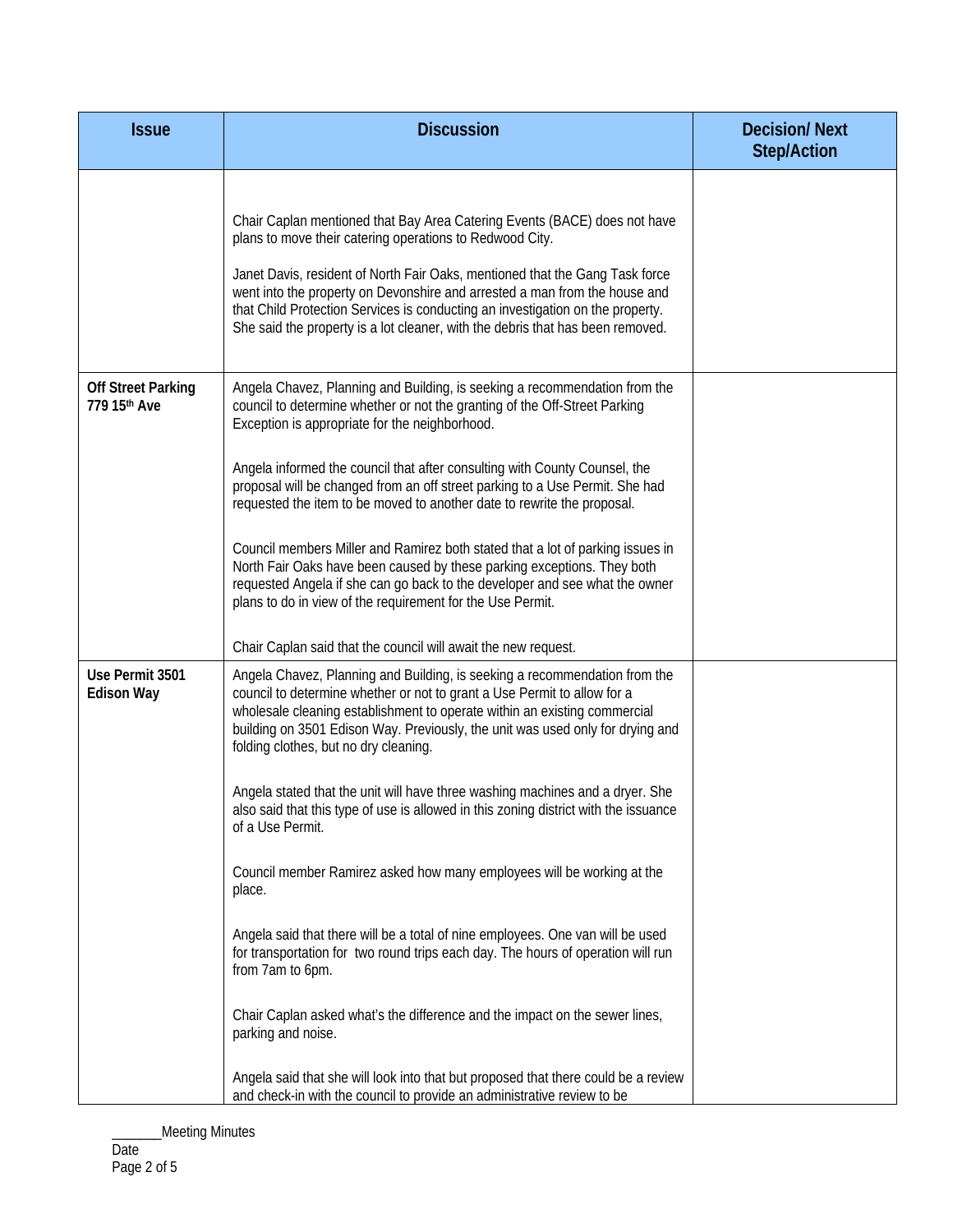| <b>Issue</b>                              | <b>Discussion</b>                                                                                                                                                                                                                                                                                                                                                                                                                                                                                                                                                                                                                                                                                                                                                                                                                                                                                           | <b>Decision/Next</b><br><b>Step/Action</b> |
|-------------------------------------------|-------------------------------------------------------------------------------------------------------------------------------------------------------------------------------------------------------------------------------------------------------------------------------------------------------------------------------------------------------------------------------------------------------------------------------------------------------------------------------------------------------------------------------------------------------------------------------------------------------------------------------------------------------------------------------------------------------------------------------------------------------------------------------------------------------------------------------------------------------------------------------------------------------------|--------------------------------------------|
|                                           | Chair Caplan mentioned that Bay Area Catering Events (BACE) does not have<br>plans to move their catering operations to Redwood City.<br>Janet Davis, resident of North Fair Oaks, mentioned that the Gang Task force<br>went into the property on Devonshire and arrested a man from the house and<br>that Child Protection Services is conducting an investigation on the property.<br>She said the property is a lot cleaner, with the debris that has been removed.                                                                                                                                                                                                                                                                                                                                                                                                                                     |                                            |
| <b>Off Street Parking</b><br>779 15th Ave | Angela Chavez, Planning and Building, is seeking a recommendation from the<br>council to determine whether or not the granting of the Off-Street Parking<br>Exception is appropriate for the neighborhood.<br>Angela informed the council that after consulting with County Counsel, the<br>proposal will be changed from an off street parking to a Use Permit. She had<br>requested the item to be moved to another date to rewrite the proposal.<br>Council members Miller and Ramirez both stated that a lot of parking issues in<br>North Fair Oaks have been caused by these parking exceptions. They both<br>requested Angela if she can go back to the developer and see what the owner<br>plans to do in view of the requirement for the Use Permit.                                                                                                                                               |                                            |
| Use Permit 3501<br><b>Edison Way</b>      | Chair Caplan said that the council will await the new request.<br>Angela Chavez, Planning and Building, is seeking a recommendation from the<br>council to determine whether or not to grant a Use Permit to allow for a<br>wholesale cleaning establishment to operate within an existing commercial<br>building on 3501 Edison Way. Previously, the unit was used only for drying and<br>folding clothes, but no dry cleaning.<br>Angela stated that the unit will have three washing machines and a dryer. She<br>also said that this type of use is allowed in this zoning district with the issuance<br>of a Use Permit.<br>Council member Ramirez asked how many employees will be working at the<br>place.<br>Angela said that there will be a total of nine employees. One van will be used<br>for transportation for two round trips each day. The hours of operation will run<br>from 7am to 6pm. |                                            |
|                                           | Chair Caplan asked what's the difference and the impact on the sewer lines,<br>parking and noise.<br>Angela said that she will look into that but proposed that there could be a review<br>and check-in with the council to provide an administrative review to be                                                                                                                                                                                                                                                                                                                                                                                                                                                                                                                                                                                                                                          |                                            |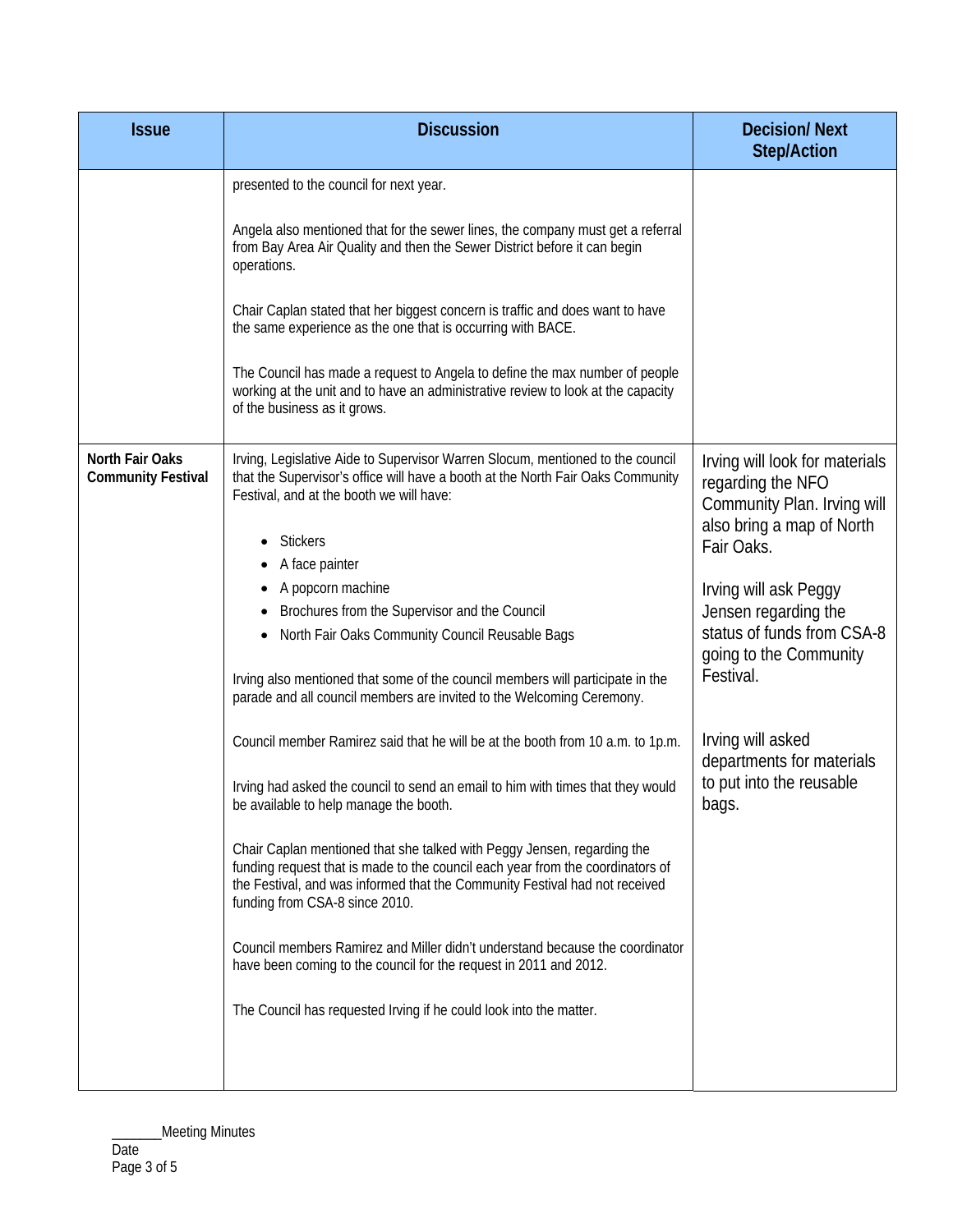| <b>Issue</b>                                        | <b>Discussion</b>                                                                                                                                                                                                                                                          | <b>Decision/Next</b><br><b>Step/Action</b>                                                                      |
|-----------------------------------------------------|----------------------------------------------------------------------------------------------------------------------------------------------------------------------------------------------------------------------------------------------------------------------------|-----------------------------------------------------------------------------------------------------------------|
|                                                     | presented to the council for next year.                                                                                                                                                                                                                                    |                                                                                                                 |
|                                                     | Angela also mentioned that for the sewer lines, the company must get a referral<br>from Bay Area Air Quality and then the Sewer District before it can begin<br>operations.                                                                                                |                                                                                                                 |
|                                                     | Chair Caplan stated that her biggest concern is traffic and does want to have<br>the same experience as the one that is occurring with BACE.                                                                                                                               |                                                                                                                 |
|                                                     | The Council has made a request to Angela to define the max number of people<br>working at the unit and to have an administrative review to look at the capacity<br>of the business as it grows.                                                                            |                                                                                                                 |
| <b>North Fair Oaks</b><br><b>Community Festival</b> | Irving, Legislative Aide to Supervisor Warren Slocum, mentioned to the council<br>that the Supervisor's office will have a booth at the North Fair Oaks Community<br>Festival, and at the booth we will have:<br><b>Stickers</b>                                           | Irving will look for materials<br>regarding the NFO<br>Community Plan. Irving will<br>also bring a map of North |
|                                                     |                                                                                                                                                                                                                                                                            | Fair Oaks.                                                                                                      |
|                                                     | A face painter                                                                                                                                                                                                                                                             |                                                                                                                 |
|                                                     | A popcorn machine                                                                                                                                                                                                                                                          | Irving will ask Peggy                                                                                           |
|                                                     | Brochures from the Supervisor and the Council<br>North Fair Oaks Community Council Reusable Bags<br>$\bullet$                                                                                                                                                              | Jensen regarding the<br>status of funds from CSA-8                                                              |
|                                                     | Irving also mentioned that some of the council members will participate in the<br>parade and all council members are invited to the Welcoming Ceremony.                                                                                                                    | going to the Community<br>Festival.                                                                             |
|                                                     | Council member Ramirez said that he will be at the booth from 10 a.m. to 1p.m.                                                                                                                                                                                             | Irving will asked<br>departments for materials                                                                  |
|                                                     | Irving had asked the council to send an email to him with times that they would<br>be available to help manage the booth.                                                                                                                                                  | to put into the reusable<br>bags.                                                                               |
|                                                     | Chair Caplan mentioned that she talked with Peggy Jensen, regarding the<br>funding request that is made to the council each year from the coordinators of<br>the Festival, and was informed that the Community Festival had not received<br>funding from CSA-8 since 2010. |                                                                                                                 |
|                                                     | Council members Ramirez and Miller didn't understand because the coordinator<br>have been coming to the council for the request in 2011 and 2012.                                                                                                                          |                                                                                                                 |
|                                                     | The Council has requested Irving if he could look into the matter.                                                                                                                                                                                                         |                                                                                                                 |
|                                                     |                                                                                                                                                                                                                                                                            |                                                                                                                 |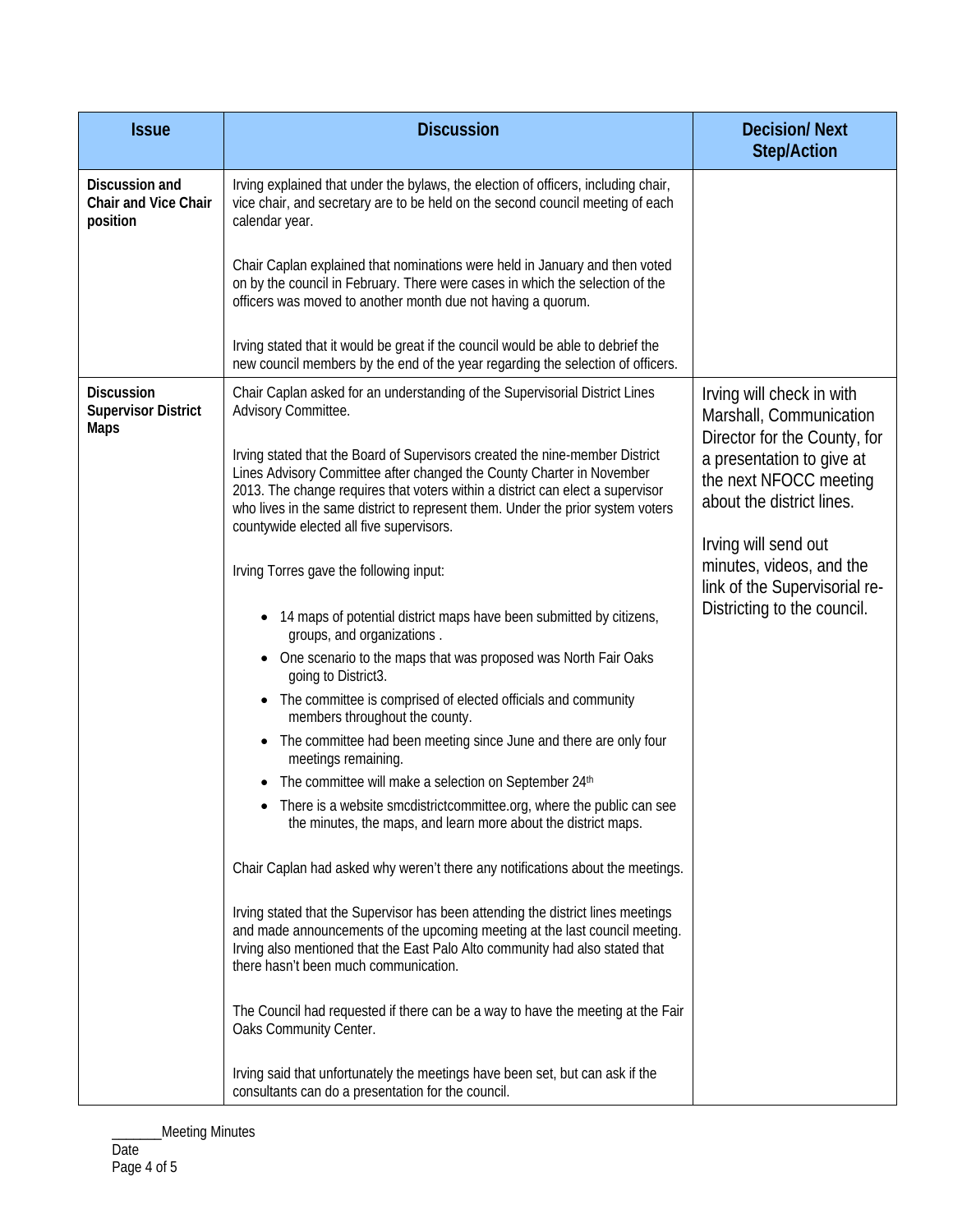| <b>Issue</b>                                                   | <b>Discussion</b>                                                                                                                                                                                                                                                                                                                                                                                                                | <b>Decision/Next</b><br><b>Step/Action</b>                                                                                                                                                                                                                                                   |
|----------------------------------------------------------------|----------------------------------------------------------------------------------------------------------------------------------------------------------------------------------------------------------------------------------------------------------------------------------------------------------------------------------------------------------------------------------------------------------------------------------|----------------------------------------------------------------------------------------------------------------------------------------------------------------------------------------------------------------------------------------------------------------------------------------------|
| Discussion and<br>Chair and Vice Chair<br>position             | Irving explained that under the bylaws, the election of officers, including chair,<br>vice chair, and secretary are to be held on the second council meeting of each<br>calendar year.                                                                                                                                                                                                                                           |                                                                                                                                                                                                                                                                                              |
|                                                                | Chair Caplan explained that nominations were held in January and then voted<br>on by the council in February. There were cases in which the selection of the<br>officers was moved to another month due not having a quorum.                                                                                                                                                                                                     |                                                                                                                                                                                                                                                                                              |
|                                                                | Irving stated that it would be great if the council would be able to debrief the<br>new council members by the end of the year regarding the selection of officers.                                                                                                                                                                                                                                                              |                                                                                                                                                                                                                                                                                              |
| <b>Discussion</b><br><b>Supervisor District</b><br><b>Maps</b> | Chair Caplan asked for an understanding of the Supervisorial District Lines<br>Advisory Committee.<br>Irving stated that the Board of Supervisors created the nine-member District<br>Lines Advisory Committee after changed the County Charter in November<br>2013. The change requires that voters within a district can elect a supervisor<br>who lives in the same district to represent them. Under the prior system voters | Irving will check in with<br>Marshall, Communication<br>Director for the County, for<br>a presentation to give at<br>the next NFOCC meeting<br>about the district lines.<br>Irving will send out<br>minutes, videos, and the<br>link of the Supervisorial re-<br>Districting to the council. |
|                                                                | countywide elected all five supervisors.<br>Irving Torres gave the following input:<br>14 maps of potential district maps have been submitted by citizens,                                                                                                                                                                                                                                                                       |                                                                                                                                                                                                                                                                                              |
|                                                                | groups, and organizations.<br>• One scenario to the maps that was proposed was North Fair Oaks<br>going to District3.<br>The committee is comprised of elected officials and community                                                                                                                                                                                                                                           |                                                                                                                                                                                                                                                                                              |
|                                                                | members throughout the county.<br>The committee had been meeting since June and there are only four<br>meetings remaining.<br>The committee will make a selection on September 24th                                                                                                                                                                                                                                              |                                                                                                                                                                                                                                                                                              |
|                                                                | There is a website smcdistrictcommittee.org, where the public can see<br>the minutes, the maps, and learn more about the district maps.                                                                                                                                                                                                                                                                                          |                                                                                                                                                                                                                                                                                              |
|                                                                | Chair Caplan had asked why weren't there any notifications about the meetings.                                                                                                                                                                                                                                                                                                                                                   |                                                                                                                                                                                                                                                                                              |
|                                                                | Irving stated that the Supervisor has been attending the district lines meetings<br>and made announcements of the upcoming meeting at the last council meeting.<br>Irving also mentioned that the East Palo Alto community had also stated that<br>there hasn't been much communication.                                                                                                                                         |                                                                                                                                                                                                                                                                                              |
|                                                                | The Council had requested if there can be a way to have the meeting at the Fair<br>Oaks Community Center.                                                                                                                                                                                                                                                                                                                        |                                                                                                                                                                                                                                                                                              |
|                                                                | Irving said that unfortunately the meetings have been set, but can ask if the<br>consultants can do a presentation for the council.                                                                                                                                                                                                                                                                                              |                                                                                                                                                                                                                                                                                              |